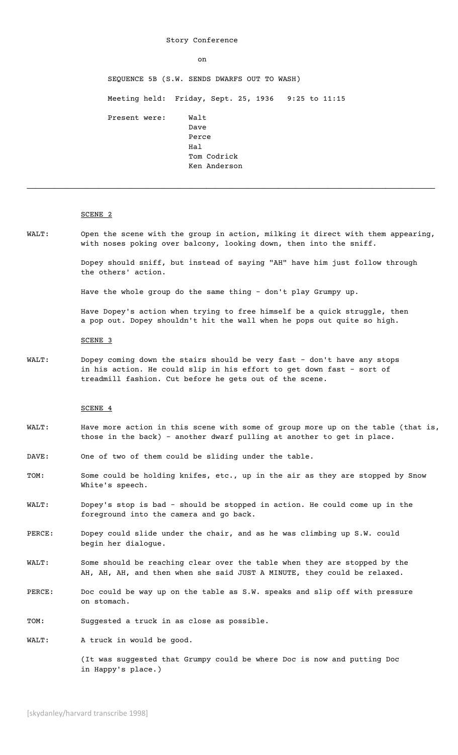#### Story Conference

on

SEQUENCE 5B (S.W. SENDS DWARFS OUT TO WASH)

Meeting held: Friday, Sept. 25, 1936 9:25 to 11:15

Present were: Walt Dave Perce Hal Tom Codrick Ken Anderson

#### SCENE 2

WALT: Open the scene with the group in action, milking it direct with them appearing, with noses poking over balcony, looking down, then into the sniff.

 $\mathcal{L}_\mathcal{L} = \mathcal{L}_\mathcal{L} = \mathcal{L}_\mathcal{L} = \mathcal{L}_\mathcal{L} = \mathcal{L}_\mathcal{L} = \mathcal{L}_\mathcal{L} = \mathcal{L}_\mathcal{L} = \mathcal{L}_\mathcal{L} = \mathcal{L}_\mathcal{L} = \mathcal{L}_\mathcal{L} = \mathcal{L}_\mathcal{L} = \mathcal{L}_\mathcal{L} = \mathcal{L}_\mathcal{L} = \mathcal{L}_\mathcal{L} = \mathcal{L}_\mathcal{L} = \mathcal{L}_\mathcal{L} = \mathcal{L}_\mathcal{L}$ 

Dopey should sniff, but instead of saying "AH" have him just follow through the others' action.

Have the whole group do the same thing – don't play Grumpy up.

Have Dopey's action when trying to free himself be a quick struggle, then a pop out. Dopey shouldn't hit the wall when he pops out quite so high.

SCENE 3

WALT: Dopey coming down the stairs should be very fast – don't have any stops in his action. He could slip in his effort to get down fast - sort of treadmill fashion. Cut before he gets out of the scene.

## SCENE 4

- WALT: Have more action in this scene with some of group more up on the table (that is, those in the back) – another dwarf pulling at another to get in place.
- DAVE: One of two of them could be sliding under the table.
- TOM: Some could be holding knifes, etc., up in the air as they are stopped by Snow White's speech.
- WALT: Dopey's stop is bad should be stopped in action. He could come up in the foreground into the camera and go back.
- PERCE: Dopey could slide under the chair, and as he was climbing up S.W. could begin her dialogue.
- WALT: Some should be reaching clear over the table when they are stopped by the AH, AH, AH, and then when she said JUST A MINUTE, they could be relaxed.
- PERCE: Doc could be way up on the table as S.W. speaks and slip off with pressure on stomach.

TOM: Suggested a truck in as close as possible.

WALT: A truck in would be good.

(It was suggested that Grumpy could be where Doc is now and putting Doc in Happy's place.)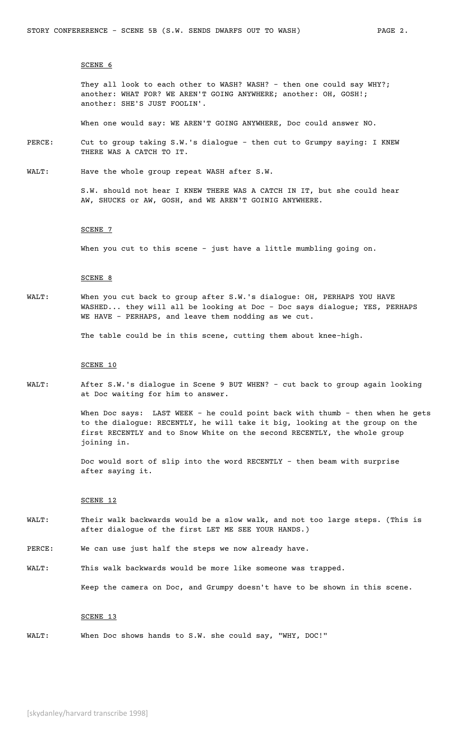# SCENE 6

They all look to each other to WASH? WASH? - then one could say WHY?; another: WHAT FOR? WE AREN'T GOING ANYWHERE; another: OH, GOSH!; another: SHE'S JUST FOOLIN'.

When one would say: WE AREN'T GOING ANYWHERE, Doc could answer NO.

PERCE: Cut to group taking S.W.'s dialogue - then cut to Grumpy saying: I KNEW THERE WAS A CATCH TO IT.

WALT: Have the whole group repeat WASH after S.W.

S.W. should not hear I KNEW THERE WAS A CATCH IN IT, but she could hear AW, SHUCKS or AW, GOSH, and WE AREN'T GOINIG ANYWHERE.

# SCENE 7

When you cut to this scene - just have a little mumbling going on.

#### SCENE 8

WALT: When you cut back to group after S.W.'s dialogue: OH, PERHAPS YOU HAVE WASHED... they will all be looking at Doc - Doc says dialogue; YES, PERHAPS WE HAVE – PERHAPS, and leave them nodding as we cut.

The table could be in this scene, cutting them about knee-high.

#### SCENE 10

WALT: After S.W.'s dialogue in Scene 9 BUT WHEN? – cut back to group again looking at Doc waiting for him to answer.

> When Doc says: LAST WEEK - he could point back with thumb - then when he gets to the dialogue: RECENTLY, he will take it big, looking at the group on the first RECENTLY and to Snow White on the second RECENTLY, the whole group joining in.

Doc would sort of slip into the word RECENTLY - then beam with surprise after saying it.

# SCENE 12

- WALT: Their walk backwards would be a slow walk, and not too large steps. (This is after dialogue of the first LET ME SEE YOUR HANDS.)
- PERCE: We can use just half the steps we now already have.
- WALT: This walk backwards would be more like someone was trapped.

Keep the camera on Doc, and Grumpy doesn't have to be shown in this scene.

#### SCENE 13

## WALT: When Doc shows hands to S.W. she could say, "WHY, DOC!"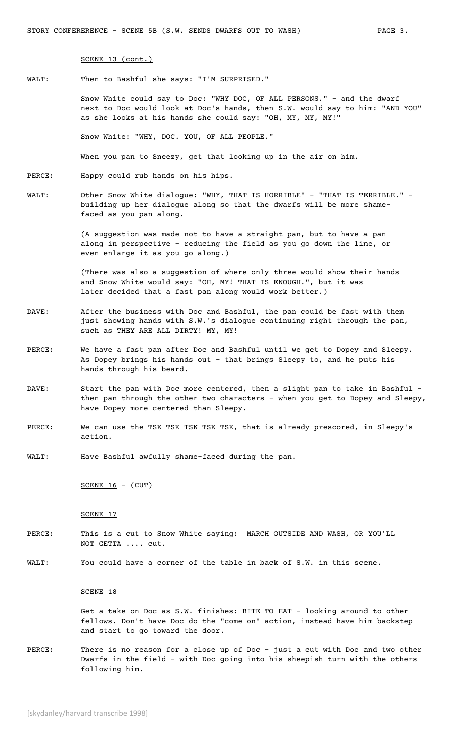SCENE 13 (cont.)

WALT: Then to Bashful she says: "I'M SURPRISED."

Snow White could say to Doc: "WHY DOC, OF ALL PERSONS." – and the dwarf next to Doc would look at Doc's hands, then S.W. would say to him: "AND YOU" as she looks at his hands she could say: "OH, MY, MY, MY!"

Snow White: "WHY, DOC. YOU, OF ALL PEOPLE."

When you pan to Sneezy, get that looking up in the air on him.

PERCE: Happy could rub hands on his hips.

WALT: Other Snow White dialogue: "WHY, THAT IS HORRIBLE" - "THAT IS TERRIBLE." building up her dialogue along so that the dwarfs will be more shamefaced as you pan along.

> (A suggestion was made not to have a straight pan, but to have a pan along in perspective - reducing the field as you go down the line, or even enlarge it as you go along.)

(There was also a suggestion of where only three would show their hands and Snow White would say: "OH, MY! THAT IS ENOUGH.", but it was later decided that a fast pan along would work better.)

- DAVE: After the business with Doc and Bashful, the pan could be fast with them just showing hands with S.W.'s dialogue continuing right through the pan, such as THEY ARE ALL DIRTY! MY, MY!
- PERCE: We have a fast pan after Doc and Bashful until we get to Dopey and Sleepy. As Dopey brings his hands out – that brings Sleepy to, and he puts his hands through his beard.
- DAVE: Start the pan with Doc more centered, then a slight pan to take in Bashful then pan through the other two characters – when you get to Dopey and Sleepy, have Dopey more centered than Sleepy.
- PERCE: We can use the TSK TSK TSK TSK TSK, that is already prescored, in Sleepy's action.
- WALT: Have Bashful awfully shame-faced during the pan.

SCENE 16 – (CUT)

### SCENE 17

- PERCE: This is a cut to Snow White saying: MARCH OUTSIDE AND WASH, OR YOU'LL NOT GETTA .... cut.
- WALT: You could have a corner of the table in back of S.W. in this scene.

# SCENE 18

Get a take on Doc as S.W. finishes: BITE TO EAT – looking around to other fellows. Don't have Doc do the "come on" action, instead have him backstep and start to go toward the door.

PERCE: There is no reason for a close up of Doc - just a cut with Doc and two other Dwarfs in the field – with Doc going into his sheepish turn with the others following him.